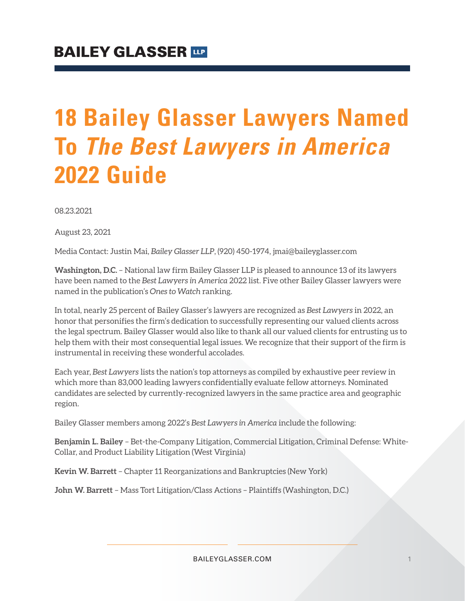# **18 Bailey Glasser Lawyers Named To** *The Best Lawyers in America* **2022 Guide**

08.23.2021

August 23, 2021

Media Contact: Justin Mai, *Bailey Glasser LLP*, (920) 450-1974, jmai@baileyglasser.com

**Washington, D.C.** – National law firm Bailey Glasser LLP is pleased to announce 13 of its lawyers have been named to the *Best Lawyers in America* 2022 list. Five other Bailey Glasser lawyers were named in the publication's *Ones to Watch* ranking.

In total, nearly 25 percent of Bailey Glasser's lawyers are recognized as *Best Lawyers* in 2022, an honor that personifies the firm's dedication to successfully representing our valued clients across the legal spectrum. Bailey Glasser would also like to thank all our valued clients for entrusting us to help them with their most consequential legal issues. We recognize that their support of the firm is instrumental in receiving these wonderful accolades.

Each year, *Best Lawyers* lists the nation's top attorneys as compiled by exhaustive peer review in which more than 83,000 leading lawyers confidentially evaluate fellow attorneys. Nominated candidates are selected by currently-recognized lawyers in the same practice area and geographic region.

Bailey Glasser members among 2022's *Best Lawyers in America* include the following:

**Benjamin L. Bailey** – Bet-the-Company Litigation, Commercial Litigation, Criminal Defense: White-Collar, and Product Liability Litigation (West Virginia)

**Kevin W. Barrett** – Chapter 11 Reorganizations and Bankruptcies (New York)

**John W. Barrett** *–* Mass Tort Litigation/Class Actions – Plaintiffs (Washington, D.C.)

BAILEYGLASSER.COM 1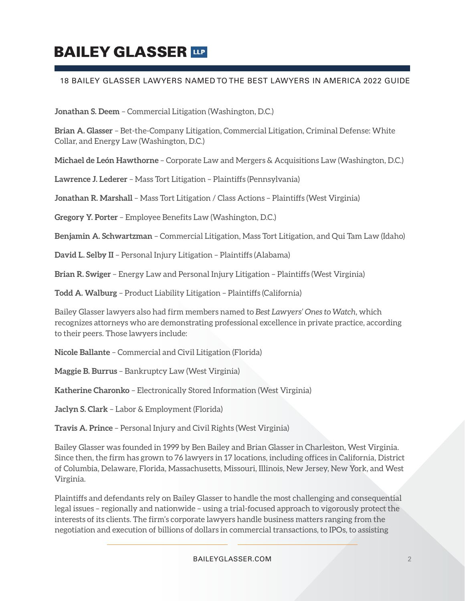## **BAILEY GLASSER TIP**

### 18 BAILEY GLASSER LAWYERS NAMED TO THE BEST LAWYERS IN AMERICA 2022 GUIDE

**Jonathan S. Deem** – Commercial Litigation (Washington, D.C.)

**Brian A. Glasser** – Bet-the-Company Litigation, Commercial Litigation, Criminal Defense: White Collar, and Energy Law (Washington, D.C.)

**Michael de León Hawthorne** – Corporate Law and Mergers & Acquisitions Law (Washington, D.C.)

**Lawrence J. Lederer** – Mass Tort Litigation – Plaintiffs (Pennsylvania)

**Jonathan R. Marshall** – Mass Tort Litigation / Class Actions – Plaintiffs (West Virginia)

**Gregory Y. Porter** – Employee Benefits Law (Washington, D.C.)

**Benjamin A. Schwartzman** – Commercial Litigation, Mass Tort Litigation, and Qui Tam Law (Idaho)

**David L. Selby II** – Personal Injury Litigation – Plaintiffs (Alabama)

**Brian R. Swiger** – Energy Law and Personal Injury Litigation – Plaintiffs (West Virginia)

**Todd A. Walburg** – Product Liability Litigation – Plaintiffs (California)

Bailey Glasser lawyers also had firm members named to *Best Lawyers' Ones to Watch*, which recognizes attorneys who are demonstrating professional excellence in private practice, according to their peers. Those lawyers include:

**Nicole Ballante** – Commercial and Civil Litigation (Florida)

**Maggie B. Burrus** – Bankruptcy Law (West Virginia)

**Katherine Charonko** – Electronically Stored Information (West Virginia)

**Jaclyn S. Clark** – Labor & Employment (Florida)

**Travis A. Prince** – Personal Injury and Civil Rights (West Virginia)

Bailey Glasser was founded in 1999 by Ben Bailey and Brian Glasser in Charleston, West Virginia. Since then, the firm has grown to 76 lawyers in 17 locations, including offices in California, District of Columbia, Delaware, Florida, Massachusetts, Missouri, Illinois, New Jersey, New York, and West Virginia.

Plaintiffs and defendants rely on Bailey Glasser to handle the most challenging and consequential legal issues – regionally and nationwide – using a trial-focused approach to vigorously protect the interests of its clients. The firm's corporate lawyers handle business matters ranging from the negotiation and execution of billions of dollars in commercial transactions, to IPOs, to assisting